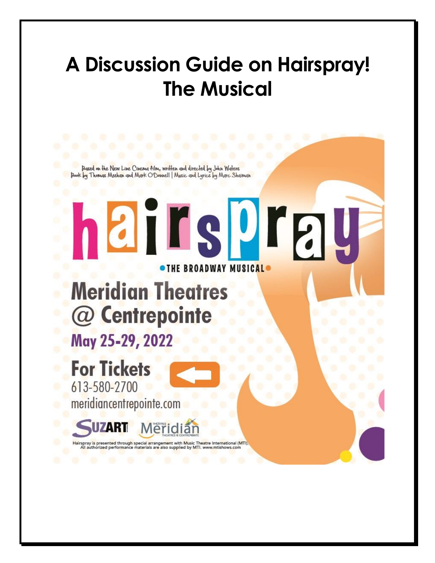# **A Discussion Guide on Hairspray! The Musical**

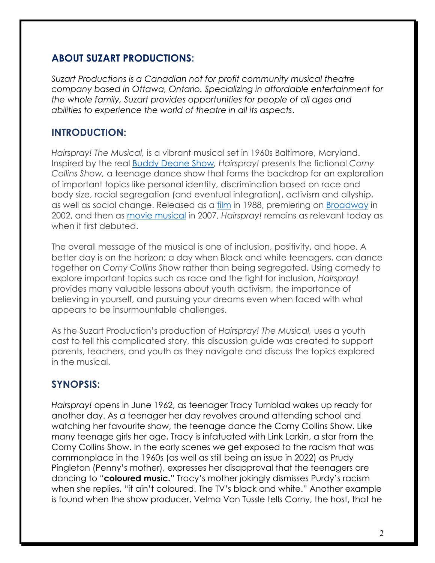# **ABOUT SUZART PRODUCTIONS:**

*Suzart Productions is a Canadian not for profit community musical theatre company based in Ottawa, Ontario. Specializing in affordable entertainment for the whole family, Suzart provides opportunities for people of all ages and abilities to experience the world of theatre in all its aspects*.

# **INTRODUCTION:**

*Hairspray! The Musical,* is a vibrant musical set in 1960s Baltimore, Maryland. Inspired by the real Buddy Deane Show*, Hairspray!* presents the fictional *Corny Collins Show,* a teenage dance show that forms the backdrop for an exploration of important topics like personal identity, discrimination based on race and body size, racial segregation (and eventual integration), activism and allyship, as well as social change. Released as a film in 1988, premiering on Broadway in 2002, and then as movie musical in 2007, *Hairspray!* remains as relevant today as when it first debuted.

The overall message of the musical is one of inclusion, positivity, and hope. A better day is on the horizon; a day when Black and white teenagers, can dance together on *Corny Collins Show* rather than being segregated. Using comedy to explore important topics such as race and the fight for inclusion, *Hairspray!* provides many valuable lessons about youth activism, the importance of believing in yourself, and pursuing your dreams even when faced with what appears to be insurmountable challenges.

As the Suzart Production's production of *Hairspray! The Musical,* uses a youth cast to tell this complicated story, this discussion guide was created to support parents, teachers, and youth as they navigate and discuss the topics explored in the musical.

# **SYNOPSIS:**

*Hairspray!* opens in June 1962, as teenager Tracy Turnblad wakes up ready for another day. As a teenager her day revolves around attending school and watching her favourite show, the teenage dance the Corny Collins Show. Like many teenage girls her age, Tracy is infatuated with Link Larkin, a star from the Corny Collins Show. In the early scenes we get exposed to the racism that was commonplace in the 1960s (as well as still being an issue in 2022) as Prudy Pingleton (Penny's mother), expresses her disapproval that the teenagers are dancing to "**coloured music.**" Tracy's mother jokingly dismisses Purdy's racism when she replies, "it ain't coloured. The TV's black and white." Another example is found when the show producer, Velma Von Tussle tells Corny, the host, that he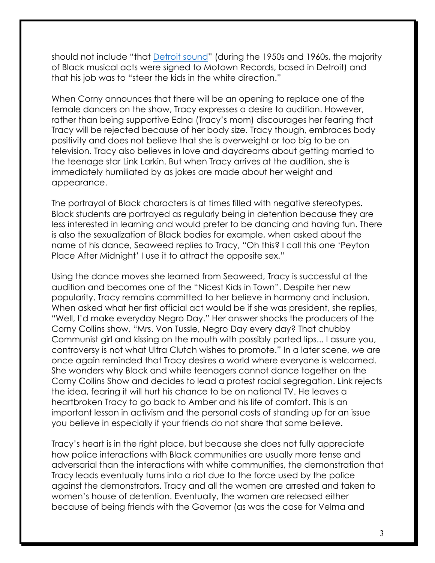should not include "that Detroit sound" (during the 1950s and 1960s, the majority of Black musical acts were signed to Motown Records, based in Detroit) and that his job was to "steer the kids in the white direction."

When Corny announces that there will be an opening to replace one of the female dancers on the show, Tracy expresses a desire to audition. However, rather than being supportive Edna (Tracy's mom) discourages her fearing that Tracy will be rejected because of her body size. Tracy though, embraces body positivity and does not believe that she is overweight or too big to be on television. Tracy also believes in love and daydreams about getting married to the teenage star Link Larkin. But when Tracy arrives at the audition, she is immediately humiliated by as jokes are made about her weight and appearance.

The portrayal of Black characters is at times filled with negative stereotypes. Black students are portrayed as regularly being in detention because they are less interested in learning and would prefer to be dancing and having fun. There is also the sexualization of Black bodies for example, when asked about the name of his dance, Seaweed replies to Tracy, "Oh this? I call this one 'Peyton Place After Midnight' I use it to attract the opposite sex."

Using the dance moves she learned from Seaweed, Tracy is successful at the audition and becomes one of the "Nicest Kids in Town". Despite her new popularity, Tracy remains committed to her believe in harmony and inclusion. When asked what her first official act would be if she was president, she replies, "Well, I'd make everyday Negro Day." Her answer shocks the producers of the Corny Collins show, "Mrs. Von Tussle, Negro Day every day? That chubby Communist girl and kissing on the mouth with possibly parted lips... I assure you, controversy is not what Ultra Clutch wishes to promote." In a later scene, we are once again reminded that Tracy desires a world where everyone is welcomed. She wonders why Black and white teenagers cannot dance together on the Corny Collins Show and decides to lead a protest racial segregation. Link rejects the idea, fearing it will hurt his chance to be on national TV. He leaves a heartbroken Tracy to go back to Amber and his life of comfort. This is an important lesson in activism and the personal costs of standing up for an issue you believe in especially if your friends do not share that same believe.

Tracy's heart is in the right place, but because she does not fully appreciate how police interactions with Black communities are usually more tense and adversarial than the interactions with white communities, the demonstration that Tracy leads eventually turns into a riot due to the force used by the police against the demonstrators. Tracy and all the women are arrested and taken to women's house of detention. Eventually, the women are released either because of being friends with the Governor (as was the case for Velma and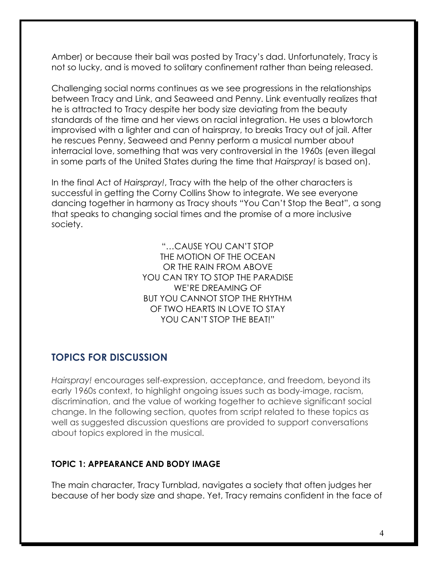Amber) or because their bail was posted by Tracy's dad. Unfortunately, Tracy is not so lucky, and is moved to solitary confinement rather than being released.

Challenging social norms continues as we see progressions in the relationships between Tracy and Link, and Seaweed and Penny. Link eventually realizes that he is attracted to Tracy despite her body size deviating from the beauty standards of the time and her views on racial integration. He uses a blowtorch improvised with a lighter and can of hairspray, to breaks Tracy out of jail. After he rescues Penny, Seaweed and Penny perform a musical number about interracial love, something that was very controversial in the 1960s (even illegal in some parts of the United States during the time that *Hairspray!* is based on).

In the final Act of *Hairspray!*, Tracy with the help of the other characters is successful in getting the Corny Collins Show to integrate. We see everyone dancing together in harmony as Tracy shouts "You Can't Stop the Beat", a song that speaks to changing social times and the promise of a more inclusive society.

> "…CAUSE YOU CAN'T STOP THE MOTION OF THE OCEAN OR THE RAIN FROM ABOVE YOU CAN TRY TO STOP THE PARADISE WE'RE DREAMING OF BUT YOU CANNOT STOP THE RHYTHM OF TWO HEARTS IN LOVE TO STAY YOU CAN'T STOP THE BEAT!"

## **TOPICS FOR DISCUSSION**

*Hairspray!* encourages self-expression, acceptance, and freedom, beyond its early 1960s context, to highlight ongoing issues such as body-image, racism, discrimination, and the value of working together to achieve significant social change. In the following section, quotes from script related to these topics as well as suggested discussion questions are provided to support conversations about topics explored in the musical.

### **TOPIC 1: APPEARANCE AND BODY IMAGE**

The main character, Tracy Turnblad, navigates a society that often judges her because of her body size and shape. Yet, Tracy remains confident in the face of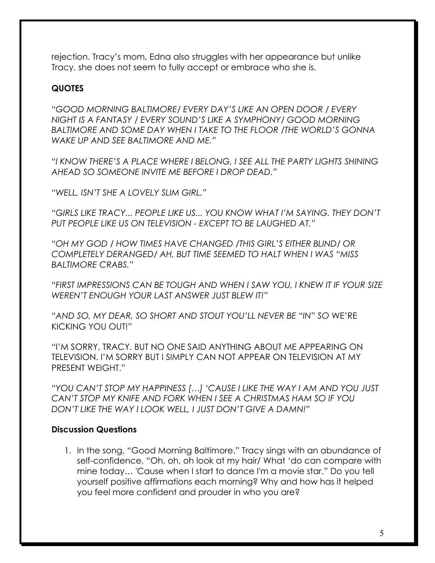rejection. Tracy's mom, Edna also struggles with her appearance but unlike Tracy, she does not seem to fully accept or embrace who she is.

#### **QUOTES**

*"GOOD MORNING BALTIMORE/ EVERY DAY'S LIKE AN OPEN DOOR / EVERY NIGHT IS A FANTASY / EVERY SOUND'S LIKE A SYMPHONY/ GOOD MORNING BALTIMORE AND SOME DAY WHEN I TAKE TO THE FLOOR /THE WORLD'S GONNA WAKE UP AND SEE BALTIMORE AND ME."*

*"I KNOW THERE'S A PLACE WHERE I BELONG, I SEE ALL THE PARTY LIGHTS SHINING AHEAD SO SOMEONE INVITE ME BEFORE I DROP DEAD."*

*"WELL, ISN'T SHE A LOVELY SLIM GIRL."* 

*"GIRLS LIKE TRACY... PEOPLE LIKE US... YOU KNOW WHAT I'M SAYING. THEY DON'T PUT PEOPLE LIKE US ON TELEVISION - EXCEPT TO BE LAUGHED AT."* 

*"OH MY GOD / HOW TIMES HAVE CHANGED /THIS GIRL'S EITHER BLIND/ OR COMPLETELY DERANGED/ AH, BUT TIME SEEMED TO HALT WHEN I WAS "MISS BALTIMORE CRABS."* 

*"FIRST IMPRESSIONS CAN BE TOUGH AND WHEN I SAW YOU, I KNEW IT IF YOUR SIZE WEREN'T ENOUGH YOUR LAST ANSWER JUST BLEW IT!"*

*"AND SO, MY DEAR, SO SHORT AND STOUT YOU'LL NEVER BE "IN" SO* WE'RE KICKING YOU OUT!"

"I'M SORRY, TRACY. BUT NO ONE SAID ANYTHING ABOUT ME APPEARING ON TELEVISION. I'M SORRY BUT I SIMPLY CAN NOT APPEAR ON TELEVISION AT MY PRESENT WEIGHT."

*"YOU CAN'T STOP MY HAPPINESS […] 'CAUSE I LIKE THE WAY I AM AND YOU JUST CAN'T STOP MY KNIFE AND FORK WHEN I SEE A CHRISTMAS HAM SO IF YOU DON'T LIKE THE WAY I LOOK WELL, I JUST DON'T GIVE A DAMN!"*

#### **Discussion Questions**

1. In the song, "Good Morning Baltimore." Tracy sings with an abundance of self-confidence, "Oh, oh, oh look at my hair/ What 'do can compare with mine today… 'Cause when I start to dance I'm a movie star." Do you tell yourself positive affirmations each morning? Why and how has it helped you feel more confident and prouder in who you are?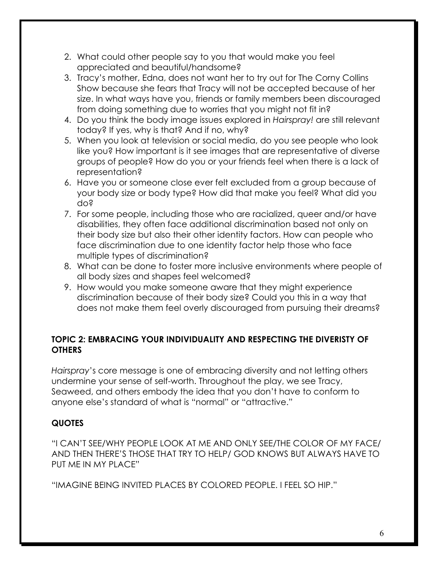- 2. What could other people say to you that would make you feel appreciated and beautiful/handsome?
- 3. Tracy's mother, Edna, does not want her to try out for The Corny Collins Show because she fears that Tracy will not be accepted because of her size. In what ways have you, friends or family members been discouraged from doing something due to worries that you might not fit in?
- 4. Do you think the body image issues explored in *Hairspray!* are still relevant today? If yes, why is that? And if no, why?
- 5. When you look at television or social media, do you see people who look like you? How important is it see images that are representative of diverse groups of people? How do you or your friends feel when there is a lack of representation?
- 6. Have you or someone close ever felt excluded from a group because of your body size or body type? How did that make you feel? What did you do?
- 7. For some people, including those who are racialized, queer and/or have disabilities, they often face additional discrimination based not only on their body size but also their other identity factors. How can people who face discrimination due to one identity factor help those who face multiple types of discrimination?
- 8. What can be done to foster more inclusive environments where people of all body sizes and shapes feel welcomed?
- 9. How would you make someone aware that they might experience discrimination because of their body size? Could you this in a way that does not make them feel overly discouraged from pursuing their dreams?

## **TOPIC 2: EMBRACING YOUR INDIVIDUALITY AND RESPECTING THE DIVERISTY OF OTHERS**

*Hairspray*'s core message is one of embracing diversity and not letting others undermine your sense of self-worth. Throughout the play, we see Tracy, Seaweed, and others embody the idea that you don't have to conform to anyone else's standard of what is "normal" or "attractive."

## **QUOTES**

"I CAN'T SEE/WHY PEOPLE LOOK AT ME AND ONLY SEE/THE COLOR OF MY FACE/ AND THEN THERE'S THOSE THAT TRY TO HELP/ GOD KNOWS BUT ALWAYS HAVE TO PUT ME IN MY PLACE"

"IMAGINE BEING INVITED PLACES BY COLORED PEOPLE. I FEEL SO HIP."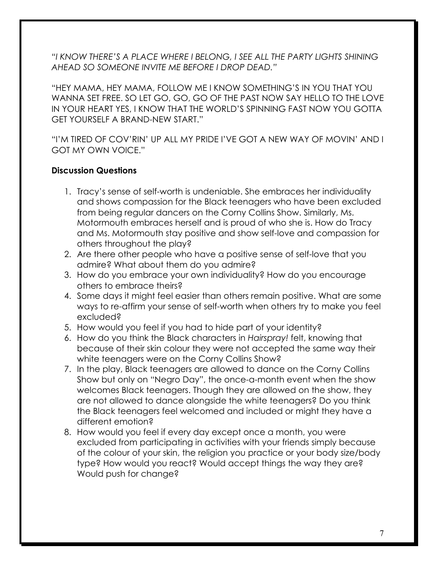*"I KNOW THERE'S A PLACE WHERE I BELONG, I SEE ALL THE PARTY LIGHTS SHINING AHEAD SO SOMEONE INVITE ME BEFORE I DROP DEAD."*

"HEY MAMA, HEY MAMA, FOLLOW ME I KNOW SOMETHING'S IN YOU THAT YOU WANNA SET FREE. SO LET GO, GO, GO OF THE PAST NOW SAY HELLO TO THE LOVE IN YOUR HEART YES, I KNOW THAT THE WORLD'S SPINNING FAST NOW YOU GOTTA GET YOURSELF A BRAND-NEW START."

"I'M TIRED OF COV'RIN' UP ALL MY PRIDE I'VE GOT A NEW WAY OF MOVIN' AND I GOT MY OWN VOICE."

## **Discussion Questions**

- 1. Tracy's sense of self-worth is undeniable. She embraces her individuality and shows compassion for the Black teenagers who have been excluded from being regular dancers on the Corny Collins Show. Similarly, Ms. Motormouth embraces herself and is proud of who she is. How do Tracy and Ms. Motormouth stay positive and show self-love and compassion for others throughout the play?
- 2. Are there other people who have a positive sense of self-love that you admire? What about them do you admire?
- 3. How do you embrace your own individuality? How do you encourage others to embrace theirs?
- 4. Some days it might feel easier than others remain positive. What are some ways to re-affirm your sense of self-worth when others try to make you feel excluded?
- 5. How would you feel if you had to hide part of your identity?
- 6. How do you think the Black characters in *Hairspray!* felt, knowing that because of their skin colour they were not accepted the same way their white teenagers were on the Corny Collins Show?
- 7. In the play, Black teenagers are allowed to dance on the Corny Collins Show but only on "Negro Day", the once-a-month event when the show welcomes Black teenagers. Though they are allowed on the show, they are not allowed to dance alongside the white teenagers? Do you think the Black teenagers feel welcomed and included or might they have a different emotion?
- 8. How would you feel if every day except once a month, you were excluded from participating in activities with your friends simply because of the colour of your skin, the religion you practice or your body size/body type? How would you react? Would accept things the way they are? Would push for change?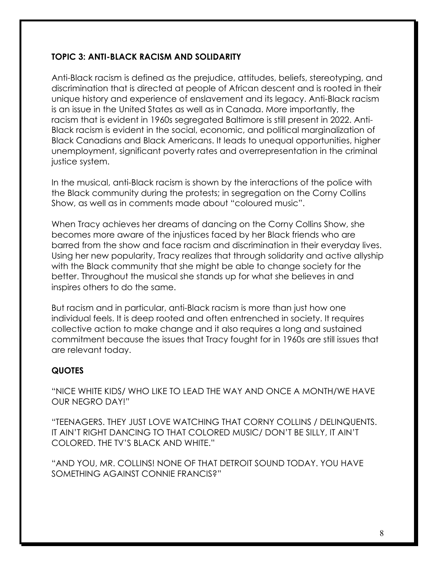### **TOPIC 3: ANTI-BLACK RACISM AND SOLIDARITY**

Anti-Black racism is defined as the prejudice, attitudes, beliefs, stereotyping, and discrimination that is directed at people of African descent and is rooted in their unique history and experience of enslavement and its legacy. Anti-Black racism is an issue in the United States as well as in Canada. More importantly, the racism that is evident in 1960s segregated Baltimore is still present in 2022. Anti-Black racism is evident in the social, economic, and political marginalization of Black Canadians and Black Americans. It leads to unequal opportunities, higher unemployment, significant poverty rates and overrepresentation in the criminal justice system.

In the musical, anti-Black racism is shown by the interactions of the police with the Black community during the protests; in segregation on the Corny Collins Show, as well as in comments made about "coloured music".

When Tracy achieves her dreams of dancing on the Corny Collins Show, she becomes more aware of the injustices faced by her Black friends who are barred from the show and face racism and discrimination in their everyday lives. Using her new popularity, Tracy realizes that through solidarity and active allyship with the Black community that she might be able to change society for the better. Throughout the musical she stands up for what she believes in and inspires others to do the same.

But racism and in particular, anti-Black racism is more than just how one individual feels. It is deep rooted and often entrenched in society. It requires collective action to make change and it also requires a long and sustained commitment because the issues that Tracy fought for in 1960s are still issues that are relevant today.

## **QUOTES**

"NICE WHITE KIDS/ WHO LIKE TO LEAD THE WAY AND ONCE A MONTH/WE HAVE OUR NEGRO DAY!"

"TEENAGERS. THEY JUST LOVE WATCHING THAT CORNY COLLINS / DELINQUENTS. IT AIN'T RIGHT DANCING TO THAT COLORED MUSIC/ DON'T BE SILLY, IT AIN'T COLORED. THE TV'S BLACK AND WHITE."

"AND YOU, MR. COLLINS! NONE OF THAT DETROIT SOUND TODAY. YOU HAVE SOMETHING AGAINST CONNIE FRANCIS?"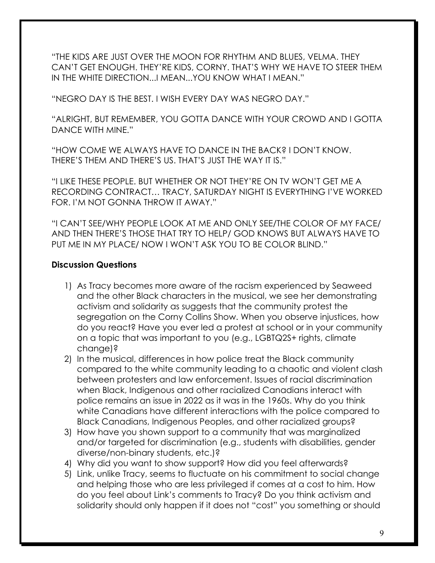"THE KIDS ARE JUST OVER THE MOON FOR RHYTHM AND BLUES, VELMA. THEY CAN'T GET ENOUGH. THEY'RE KIDS, CORNY. THAT'S WHY WE HAVE TO STEER THEM IN THE WHITE DIRECTION...I MEAN...YOU KNOW WHAT I MEAN."

"NEGRO DAY IS THE BEST. I WISH EVERY DAY WAS NEGRO DAY."

"ALRIGHT, BUT REMEMBER, YOU GOTTA DANCE WITH YOUR CROWD AND I GOTTA DANCE WITH MINE."

"HOW COME WE ALWAYS HAVE TO DANCE IN THE BACK? I DON'T KNOW. THERE'S THEM AND THERE'S US. THAT'S JUST THE WAY IT IS."

"I LIKE THESE PEOPLE. BUT WHETHER OR NOT THEY'RE ON TV WON'T GET ME A RECORDING CONTRACT… TRACY, SATURDAY NIGHT IS EVERYTHING I'VE WORKED FOR. I'M NOT GONNA THROW IT AWAY."

"I CAN'T SEE/WHY PEOPLE LOOK AT ME AND ONLY SEE/THE COLOR OF MY FACE/ AND THEN THERE'S THOSE THAT TRY TO HELP/ GOD KNOWS BUT ALWAYS HAVE TO PUT ME IN MY PLACE/ NOW I WON'T ASK YOU TO BE COLOR BLIND."

### **Discussion Questions**

- 1) As Tracy becomes more aware of the racism experienced by Seaweed and the other Black characters in the musical, we see her demonstrating activism and solidarity as suggests that the community protest the segregation on the Corny Collins Show. When you observe injustices, how do you react? Have you ever led a protest at school or in your community on a topic that was important to you (e.g., LGBTQ2S+ rights, climate change)?
- 2) In the musical, differences in how police treat the Black community compared to the white community leading to a chaotic and violent clash between protesters and law enforcement. Issues of racial discrimination when Black, Indigenous and other racialized Canadians interact with police remains an issue in 2022 as it was in the 1960s. Why do you think white Canadians have different interactions with the police compared to Black Canadians, Indigenous Peoples, and other racialized groups?
- 3) How have you shown support to a community that was marginalized and/or targeted for discrimination (e.g., students with disabilities, gender diverse/non-binary students, etc.)?
- 4) Why did you want to show support? How did you feel afterwards?
- 5) Link, unlike Tracy, seems to fluctuate on his commitment to social change and helping those who are less privileged if comes at a cost to him. How do you feel about Link's comments to Tracy? Do you think activism and solidarity should only happen if it does not "cost" you something or should